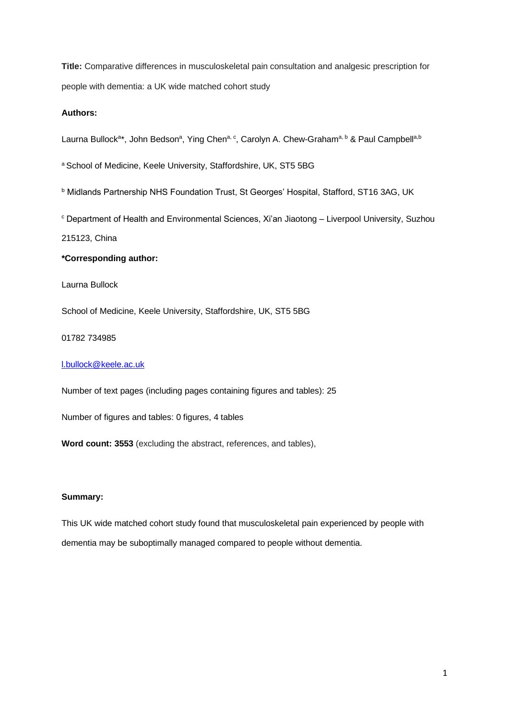**Title:** Comparative differences in musculoskeletal pain consultation and analgesic prescription for people with dementia: a UK wide matched cohort study

# **Authors:**

Laurna Bullock<sup>a\*</sup>, John Bedson<sup>a</sup>, Ying Chen<sup>a, c</sup>, Carolyn A. Chew-Graham<sup>a, b</sup> & Paul Campbell<sup>a,b</sup>

a School of Medicine, Keele University, Staffordshire, UK, ST5 5BG

**b Midlands Partnership NHS Foundation Trust, St Georges' Hospital, Stafford, ST16 3AG, UK** 

<sup>c</sup> Department of Health and Environmental Sciences, Xi'an Jiaotong – Liverpool University, Suzhou

215123, China

# **\*Corresponding author:**

Laurna Bullock

School of Medicine, Keele University, Staffordshire, UK, ST5 5BG

01782 734985

# [l.bullock@keele.ac.uk](mailto:l.bullock@keele.ac.uk)

Number of text pages (including pages containing figures and tables): 25

Number of figures and tables: 0 figures, 4 tables

**Word count: 3553** (excluding the abstract, references, and tables),

# **Summary:**

This UK wide matched cohort study found that musculoskeletal pain experienced by people with dementia may be suboptimally managed compared to people without dementia.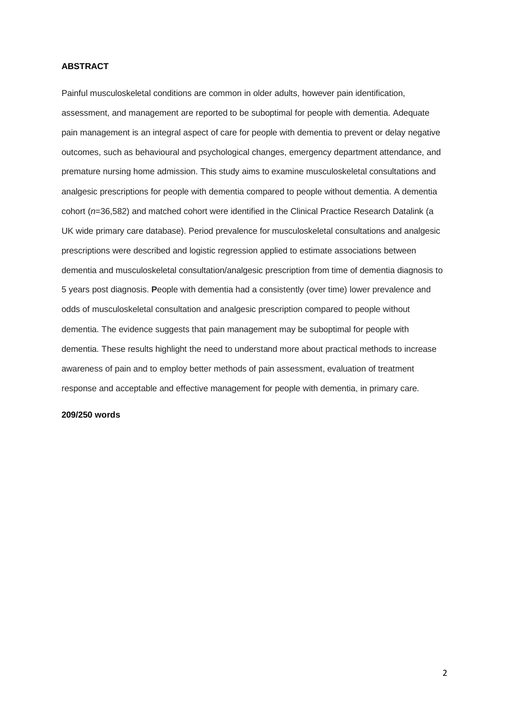# **ABSTRACT**

Painful musculoskeletal conditions are common in older adults, however pain identification, assessment, and management are reported to be suboptimal for people with dementia. Adequate pain management is an integral aspect of care for people with dementia to prevent or delay negative outcomes, such as behavioural and psychological changes, emergency department attendance, and premature nursing home admission. This study aims to examine musculoskeletal consultations and analgesic prescriptions for people with dementia compared to people without dementia. A dementia cohort (*n*=36,582) and matched cohort were identified in the Clinical Practice Research Datalink (a UK wide primary care database). Period prevalence for musculoskeletal consultations and analgesic prescriptions were described and logistic regression applied to estimate associations between dementia and musculoskeletal consultation/analgesic prescription from time of dementia diagnosis to 5 years post diagnosis. **P**eople with dementia had a consistently (over time) lower prevalence and odds of musculoskeletal consultation and analgesic prescription compared to people without dementia. The evidence suggests that pain management may be suboptimal for people with dementia. These results highlight the need to understand more about practical methods to increase awareness of pain and to employ better methods of pain assessment, evaluation of treatment response and acceptable and effective management for people with dementia, in primary care.

### **209/250 words**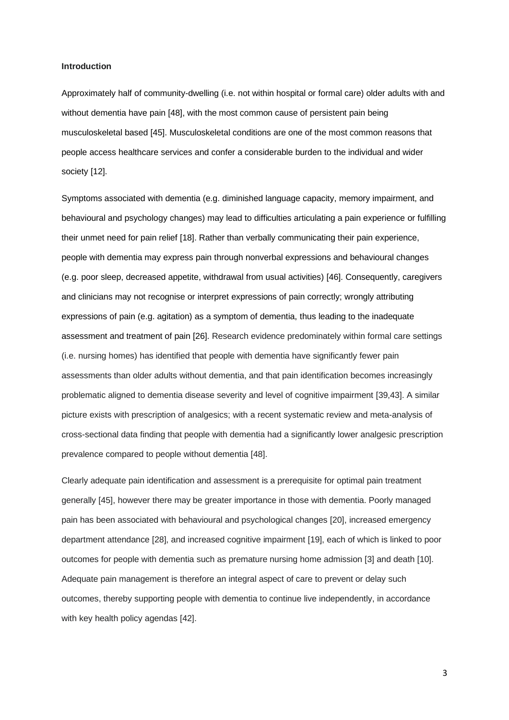#### **Introduction**

Approximately half of community-dwelling (i.e. not within hospital or formal care) older adults with and without dementia have pain [48], with the most common cause of persistent pain being musculoskeletal based [45]. Musculoskeletal conditions are one of the most common reasons that people access healthcare services and confer a considerable burden to the individual and wider society [12].

Symptoms associated with dementia (e.g. diminished language capacity, memory impairment, and behavioural and psychology changes) may lead to difficulties articulating a pain experience or fulfilling their unmet need for pain relief [18]. Rather than verbally communicating their pain experience, people with dementia may express pain through nonverbal expressions and behavioural changes (e.g. poor sleep, decreased appetite, withdrawal from usual activities) [46]. Consequently, caregivers and clinicians may not recognise or interpret expressions of pain correctly; wrongly attributing expressions of pain (e.g. agitation) as a symptom of dementia, thus leading to the inadequate assessment and treatment of pain [26]. Research evidence predominately within formal care settings (i.e. nursing homes) has identified that people with dementia have significantly fewer pain assessments than older adults without dementia, and that pain identification becomes increasingly problematic aligned to dementia disease severity and level of cognitive impairment [39,43]. A similar picture exists with prescription of analgesics; with a recent systematic review and meta-analysis of cross-sectional data finding that people with dementia had a significantly lower analgesic prescription prevalence compared to people without dementia [48].

Clearly adequate pain identification and assessment is a prerequisite for optimal pain treatment generally [45], however there may be greater importance in those with dementia. Poorly managed pain has been associated with behavioural and psychological changes [20], increased emergency department attendance [28], and increased cognitive impairment [19], each of which is linked to poor outcomes for people with dementia such as premature nursing home admission [3] and death [10]. Adequate pain management is therefore an integral aspect of care to prevent or delay such outcomes, thereby supporting people with dementia to continue live independently, in accordance with key health policy agendas [42].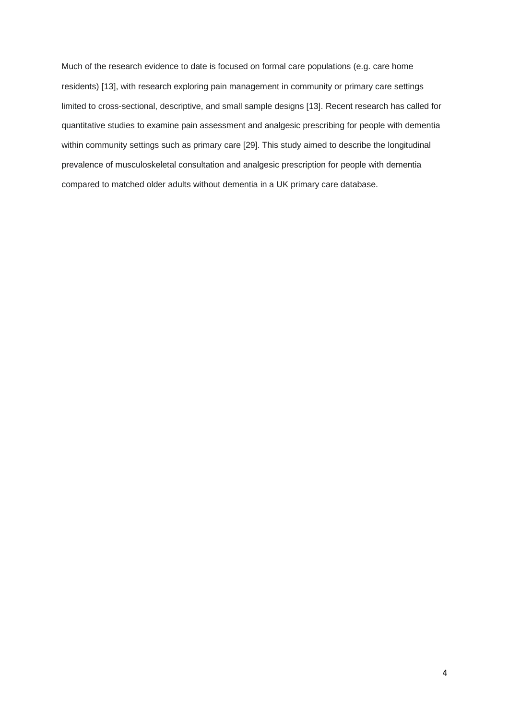Much of the research evidence to date is focused on formal care populations (e.g. care home residents) [13], with research exploring pain management in community or primary care settings limited to cross-sectional, descriptive, and small sample designs [13]. Recent research has called for quantitative studies to examine pain assessment and analgesic prescribing for people with dementia within community settings such as primary care [29]. This study aimed to describe the longitudinal prevalence of musculoskeletal consultation and analgesic prescription for people with dementia compared to matched older adults without dementia in a UK primary care database.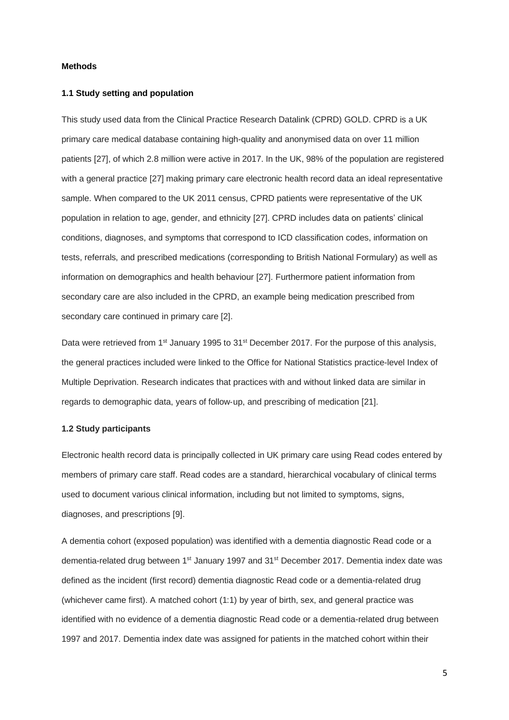# **Methods**

## **1.1 Study setting and population**

This study used data from the Clinical Practice Research Datalink (CPRD) GOLD. CPRD is a UK primary care medical database containing high-quality and anonymised data on over 11 million patients [27], of which 2.8 million were active in 2017. In the UK, 98% of the population are registered with a general practice [27] making primary care electronic health record data an ideal representative sample. When compared to the UK 2011 census, CPRD patients were representative of the UK population in relation to age, gender, and ethnicity [27]. CPRD includes data on patients' clinical conditions, diagnoses, and symptoms that correspond to ICD classification codes, information on tests, referrals, and prescribed medications (corresponding to British National Formulary) as well as information on demographics and health behaviour [27]. Furthermore patient information from secondary care are also included in the CPRD, an example being medication prescribed from secondary care continued in primary care [2].

Data were retrieved from 1<sup>st</sup> January 1995 to 31<sup>st</sup> December 2017. For the purpose of this analysis, the general practices included were linked to the Office for National Statistics practice-level Index of Multiple Deprivation. Research indicates that practices with and without linked data are similar in regards to demographic data, years of follow‐up, and prescribing of medication [21].

# **1.2 Study participants**

Electronic health record data is principally collected in UK primary care using Read codes entered by members of primary care staff. Read codes are a standard, hierarchical vocabulary of clinical terms used to document various clinical information, including but not limited to symptoms, signs, diagnoses, and prescriptions [9].

A dementia cohort (exposed population) was identified with a dementia diagnostic Read code or a dementia-related drug between 1<sup>st</sup> January 1997 and 31<sup>st</sup> December 2017. Dementia index date was defined as the incident (first record) dementia diagnostic Read code or a dementia-related drug (whichever came first). A matched cohort (1:1) by year of birth, sex, and general practice was identified with no evidence of a dementia diagnostic Read code or a dementia-related drug between 1997 and 2017. Dementia index date was assigned for patients in the matched cohort within their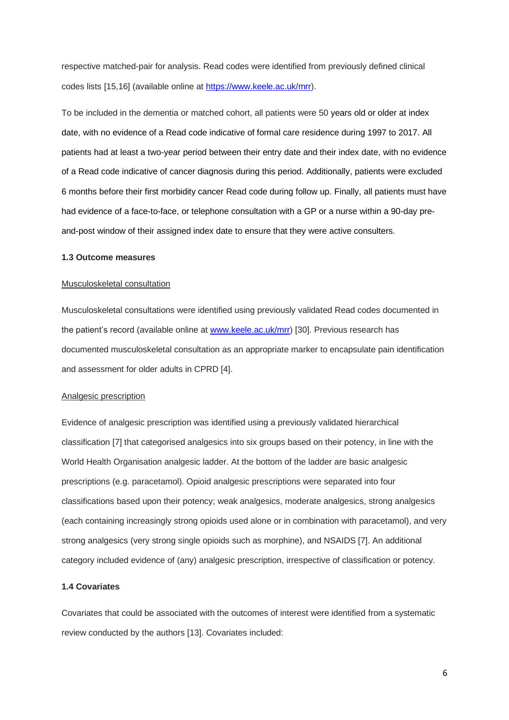respective matched-pair for analysis. Read codes were identified from previously defined clinical codes lists [15,16] (available online at [https://www.keele.ac.uk/mrr\)](https://www.keele.ac.uk/mrr).

To be included in the dementia or matched cohort, all patients were 50 years old or older at index date, with no evidence of a Read code indicative of formal care residence during 1997 to 2017. All patients had at least a two-year period between their entry date and their index date, with no evidence of a Read code indicative of cancer diagnosis during this period. Additionally, patients were excluded 6 months before their first morbidity cancer Read code during follow up. Finally, all patients must have had evidence of a face-to-face, or telephone consultation with a GP or a nurse within a 90-day preand-post window of their assigned index date to ensure that they were active consulters.

# **1.3 Outcome measures**

# Musculoskeletal consultation

Musculoskeletal consultations were identified using previously validated Read codes documented in the patient's record (available online at [www.keele.ac.uk/mrr\)](http://www.keele.ac.uk/mrr) [30]. Previous research has documented musculoskeletal consultation as an appropriate marker to encapsulate pain identification and assessment for older adults in CPRD [4].

#### Analgesic prescription

Evidence of analgesic prescription was identified using a previously validated hierarchical classification [7] that categorised analgesics into six groups based on their potency, in line with the World Health Organisation analgesic ladder. At the bottom of the ladder are basic analgesic prescriptions (e.g. paracetamol). Opioid analgesic prescriptions were separated into four classifications based upon their potency; weak analgesics, moderate analgesics, strong analgesics (each containing increasingly strong opioids used alone or in combination with paracetamol), and very strong analgesics (very strong single opioids such as morphine), and NSAIDS [7]. An additional category included evidence of (any) analgesic prescription, irrespective of classification or potency.

# **1.4 Covariates**

Covariates that could be associated with the outcomes of interest were identified from a systematic review conducted by the authors [13]. Covariates included: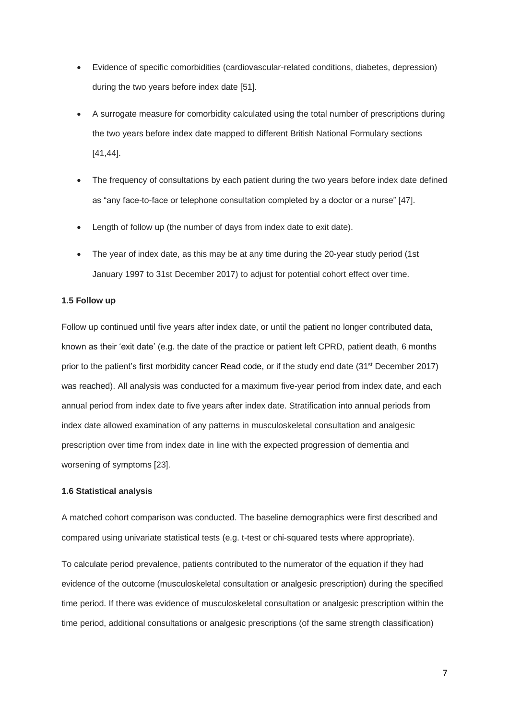- Evidence of specific comorbidities (cardiovascular-related conditions, diabetes, depression) during the two years before index date [51].
- A surrogate measure for comorbidity calculated using the total number of prescriptions during the two years before index date mapped to different British National Formulary sections [41,44].
- The frequency of consultations by each patient during the two years before index date defined as "any face-to-face or telephone consultation completed by a doctor or a nurse" [47].
- Length of follow up (the number of days from index date to exit date).
- The year of index date, as this may be at any time during the 20-year study period (1st January 1997 to 31st December 2017) to adjust for potential cohort effect over time.

## **1.5 Follow up**

Follow up continued until five years after index date, or until the patient no longer contributed data, known as their 'exit date' (e.g. the date of the practice or patient left CPRD, patient death, 6 months prior to the patient's first morbidity cancer Read code, or if the study end date (31<sup>st</sup> December 2017) was reached). All analysis was conducted for a maximum five-year period from index date, and each annual period from index date to five years after index date. Stratification into annual periods from index date allowed examination of any patterns in musculoskeletal consultation and analgesic prescription over time from index date in line with the expected progression of dementia and worsening of symptoms [23].

### **1.6 Statistical analysis**

A matched cohort comparison was conducted. The baseline demographics were first described and compared using univariate statistical tests (e.g. t-test or chi-squared tests where appropriate).

To calculate period prevalence, patients contributed to the numerator of the equation if they had evidence of the outcome (musculoskeletal consultation or analgesic prescription) during the specified time period. If there was evidence of musculoskeletal consultation or analgesic prescription within the time period, additional consultations or analgesic prescriptions (of the same strength classification)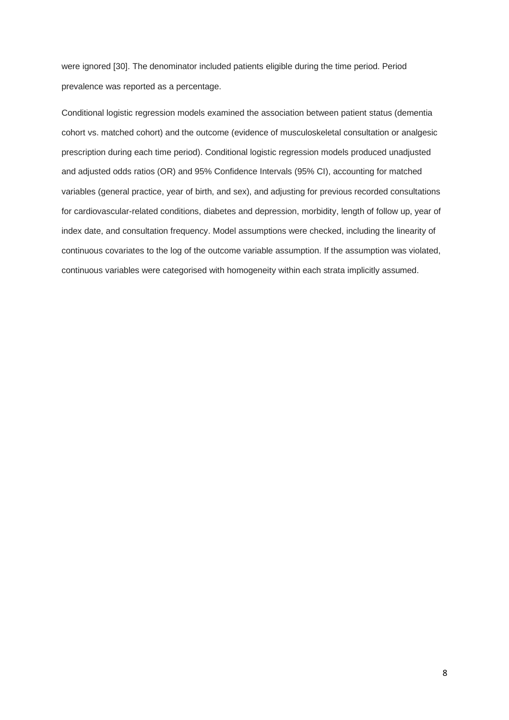were ignored [30]. The denominator included patients eligible during the time period. Period prevalence was reported as a percentage.

Conditional logistic regression models examined the association between patient status (dementia cohort vs. matched cohort) and the outcome (evidence of musculoskeletal consultation or analgesic prescription during each time period). Conditional logistic regression models produced unadjusted and adjusted odds ratios (OR) and 95% Confidence Intervals (95% CI), accounting for matched variables (general practice, year of birth, and sex), and adjusting for previous recorded consultations for cardiovascular-related conditions, diabetes and depression, morbidity, length of follow up, year of index date, and consultation frequency. Model assumptions were checked, including the linearity of continuous covariates to the log of the outcome variable assumption. If the assumption was violated, continuous variables were categorised with homogeneity within each strata implicitly assumed.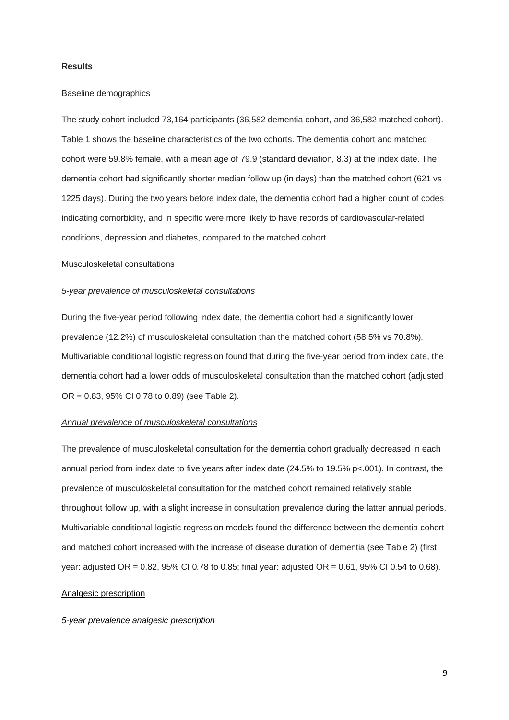### **Results**

### Baseline demographics

The study cohort included 73,164 participants (36,582 dementia cohort, and 36,582 matched cohort). Table 1 shows the baseline characteristics of the two cohorts. The dementia cohort and matched cohort were 59.8% female, with a mean age of 79.9 (standard deviation, 8.3) at the index date. The dementia cohort had significantly shorter median follow up (in days) than the matched cohort (621 vs 1225 days). During the two years before index date, the dementia cohort had a higher count of codes indicating comorbidity, and in specific were more likely to have records of cardiovascular-related conditions, depression and diabetes, compared to the matched cohort.

### Musculoskeletal consultations

#### *5-year prevalence of musculoskeletal consultations*

During the five-year period following index date, the dementia cohort had a significantly lower prevalence (12.2%) of musculoskeletal consultation than the matched cohort (58.5% vs 70.8%). Multivariable conditional logistic regression found that during the five-year period from index date, the dementia cohort had a lower odds of musculoskeletal consultation than the matched cohort (adjusted OR = 0.83, 95% CI 0.78 to 0.89) (see Table 2).

#### *Annual prevalence of musculoskeletal consultations*

The prevalence of musculoskeletal consultation for the dementia cohort gradually decreased in each annual period from index date to five years after index date (24.5% to 19.5% p<.001). In contrast, the prevalence of musculoskeletal consultation for the matched cohort remained relatively stable throughout follow up, with a slight increase in consultation prevalence during the latter annual periods. Multivariable conditional logistic regression models found the difference between the dementia cohort and matched cohort increased with the increase of disease duration of dementia (see Table 2) (first year: adjusted OR = 0.82, 95% CI 0.78 to 0.85; final year: adjusted OR = 0.61, 95% CI 0.54 to 0.68).

# Analgesic prescription

## *5-year prevalence analgesic prescription*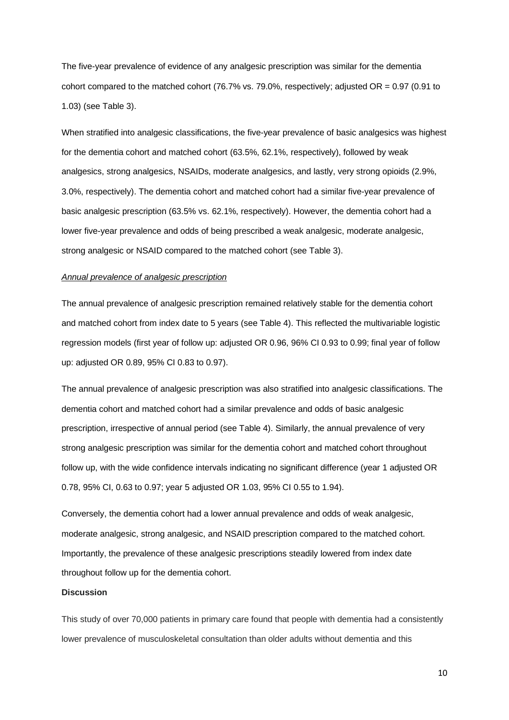The five-year prevalence of evidence of any analgesic prescription was similar for the dementia cohort compared to the matched cohort (76.7% vs. 79.0%, respectively; adjusted OR = 0.97 (0.91 to 1.03) (see Table 3).

When stratified into analgesic classifications, the five-year prevalence of basic analgesics was highest for the dementia cohort and matched cohort (63.5%, 62.1%, respectively), followed by weak analgesics, strong analgesics, NSAIDs, moderate analgesics, and lastly, very strong opioids (2.9%, 3.0%, respectively). The dementia cohort and matched cohort had a similar five-year prevalence of basic analgesic prescription (63.5% vs. 62.1%, respectively). However, the dementia cohort had a lower five-year prevalence and odds of being prescribed a weak analgesic, moderate analgesic, strong analgesic or NSAID compared to the matched cohort (see Table 3).

### *Annual prevalence of analgesic prescription*

The annual prevalence of analgesic prescription remained relatively stable for the dementia cohort and matched cohort from index date to 5 years (see Table 4). This reflected the multivariable logistic regression models (first year of follow up: adjusted OR 0.96, 96% CI 0.93 to 0.99; final year of follow up: adjusted OR 0.89, 95% CI 0.83 to 0.97).

The annual prevalence of analgesic prescription was also stratified into analgesic classifications. The dementia cohort and matched cohort had a similar prevalence and odds of basic analgesic prescription, irrespective of annual period (see Table 4). Similarly, the annual prevalence of very strong analgesic prescription was similar for the dementia cohort and matched cohort throughout follow up, with the wide confidence intervals indicating no significant difference (year 1 adjusted OR 0.78, 95% CI, 0.63 to 0.97; year 5 adjusted OR 1.03, 95% CI 0.55 to 1.94).

Conversely, the dementia cohort had a lower annual prevalence and odds of weak analgesic, moderate analgesic, strong analgesic, and NSAID prescription compared to the matched cohort. Importantly, the prevalence of these analgesic prescriptions steadily lowered from index date throughout follow up for the dementia cohort.

#### **Discussion**

This study of over 70,000 patients in primary care found that people with dementia had a consistently lower prevalence of musculoskeletal consultation than older adults without dementia and this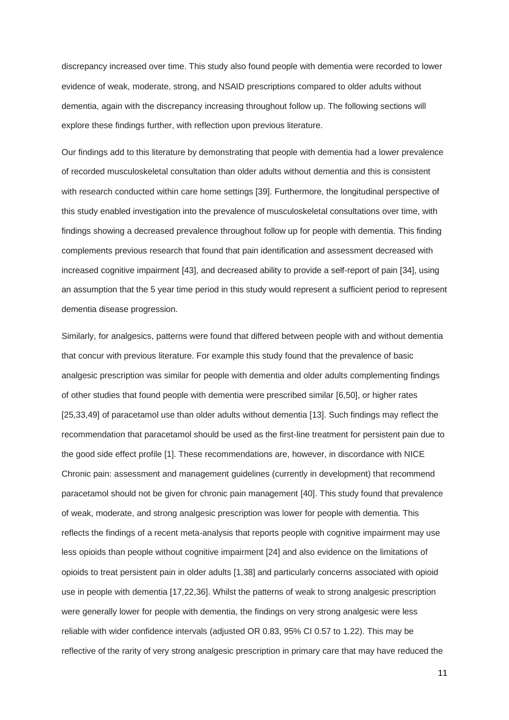discrepancy increased over time. This study also found people with dementia were recorded to lower evidence of weak, moderate, strong, and NSAID prescriptions compared to older adults without dementia, again with the discrepancy increasing throughout follow up. The following sections will explore these findings further, with reflection upon previous literature.

Our findings add to this literature by demonstrating that people with dementia had a lower prevalence of recorded musculoskeletal consultation than older adults without dementia and this is consistent with research conducted within care home settings [39]. Furthermore, the longitudinal perspective of this study enabled investigation into the prevalence of musculoskeletal consultations over time, with findings showing a decreased prevalence throughout follow up for people with dementia. This finding complements previous research that found that pain identification and assessment decreased with increased cognitive impairment [43], and decreased ability to provide a self-report of pain [34], using an assumption that the 5 year time period in this study would represent a sufficient period to represent dementia disease progression.

Similarly, for analgesics, patterns were found that differed between people with and without dementia that concur with previous literature. For example this study found that the prevalence of basic analgesic prescription was similar for people with dementia and older adults complementing findings of other studies that found people with dementia were prescribed similar [6,50], or higher rates [25,33,49] of paracetamol use than older adults without dementia [13]. Such findings may reflect the recommendation that paracetamol should be used as the first-line treatment for persistent pain due to the good side effect profile [1]. These recommendations are, however, in discordance with NICE Chronic pain: assessment and management guidelines (currently in development) that recommend paracetamol should not be given for chronic pain management [40]. This study found that prevalence of weak, moderate, and strong analgesic prescription was lower for people with dementia. This reflects the findings of a recent meta-analysis that reports people with cognitive impairment may use less opioids than people without cognitive impairment [24] and also evidence on the limitations of opioids to treat persistent pain in older adults [1,38] and particularly concerns associated with opioid use in people with dementia [17,22,36]. Whilst the patterns of weak to strong analgesic prescription were generally lower for people with dementia, the findings on very strong analgesic were less reliable with wider confidence intervals (adjusted OR 0.83, 95% CI 0.57 to 1.22). This may be reflective of the rarity of very strong analgesic prescription in primary care that may have reduced the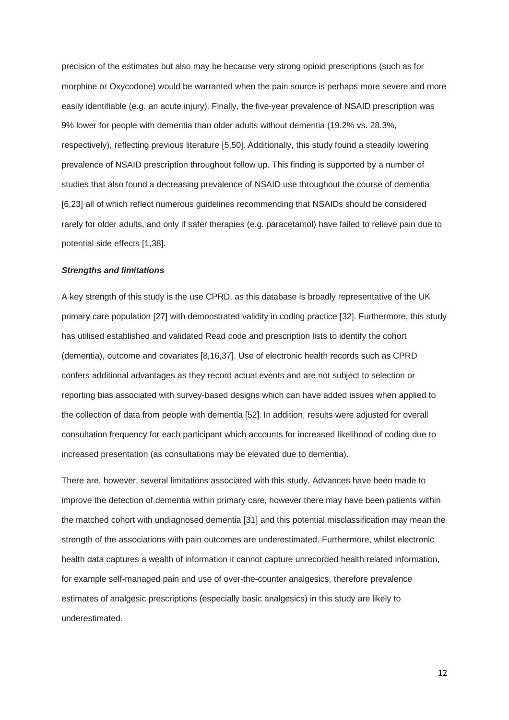precision of the estimates but also may be because very strong opioid prescriptions (such as for morphine or Oxycodone) would be warranted when the pain source is perhaps more severe and more easily identifiable (e.g. an acute injury). Finally, the five-year prevalence of NSAID prescription was 9% lower for people with dementia than older adults without dementia (19.2% vs. 28.3%, respectively), reflecting previous literature [5,50]. Additionally, this study found a steadily lowering prevalence of NSAID prescription throughout follow up. This finding is supported by a number of studies that also found a decreasing prevalence of NSAID use throughout the course of dementia [6,23] all of which reflect numerous guidelines recommending that NSAIDs should be considered rarely for older adults, and only if safer therapies (e.g. paracetamol) have failed to relieve pain due to potential side effects [1,38].

### *Strengths and limitations*

A key strength of this study is the use CPRD, as this database is broadly representative of the UK primary care population [27] with demonstrated validity in coding practice [32]. Furthermore, this study has utilised established and validated Read code and prescription lists to identify the cohort (dementia), outcome and covariates [8,16,37]. Use of electronic health records such as CPRD confers additional advantages as they record actual events and are not subject to selection or reporting bias associated with survey-based designs which can have added issues when applied to the collection of data from people with dementia [52]. In addition, results were adjusted for overall consultation frequency for each participant which accounts for increased likelihood of coding due to increased presentation (as consultations may be elevated due to dementia).

There are, however, several limitations associated with this study. Advances have been made to improve the detection of dementia within primary care, however there may have been patients within the matched cohort with undiagnosed dementia [31] and this potential misclassification may mean the strength of the associations with pain outcomes are underestimated. Furthermore, whilst electronic health data captures a wealth of information it cannot capture unrecorded health related information, for example self-managed pain and use of over-the-counter analgesics, therefore prevalence estimates of analgesic prescriptions (especially basic analgesics) in this study are likely to underestimated.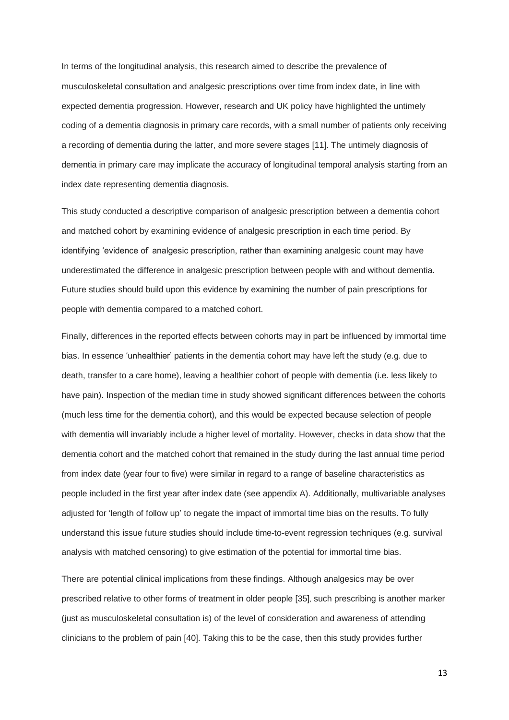In terms of the longitudinal analysis, this research aimed to describe the prevalence of musculoskeletal consultation and analgesic prescriptions over time from index date, in line with expected dementia progression. However, research and UK policy have highlighted the untimely coding of a dementia diagnosis in primary care records, with a small number of patients only receiving a recording of dementia during the latter, and more severe stages [11]. The untimely diagnosis of dementia in primary care may implicate the accuracy of longitudinal temporal analysis starting from an index date representing dementia diagnosis.

This study conducted a descriptive comparison of analgesic prescription between a dementia cohort and matched cohort by examining evidence of analgesic prescription in each time period. By identifying 'evidence of' analgesic prescription, rather than examining analgesic count may have underestimated the difference in analgesic prescription between people with and without dementia. Future studies should build upon this evidence by examining the number of pain prescriptions for people with dementia compared to a matched cohort.

Finally, differences in the reported effects between cohorts may in part be influenced by immortal time bias. In essence 'unhealthier' patients in the dementia cohort may have left the study (e.g. due to death, transfer to a care home), leaving a healthier cohort of people with dementia (i.e. less likely to have pain). Inspection of the median time in study showed significant differences between the cohorts (much less time for the dementia cohort), and this would be expected because selection of people with dementia will invariably include a higher level of mortality. However, checks in data show that the dementia cohort and the matched cohort that remained in the study during the last annual time period from index date (year four to five) were similar in regard to a range of baseline characteristics as people included in the first year after index date (see appendix A). Additionally, multivariable analyses adjusted for 'length of follow up' to negate the impact of immortal time bias on the results. To fully understand this issue future studies should include time-to-event regression techniques (e.g. survival analysis with matched censoring) to give estimation of the potential for immortal time bias.

There are potential clinical implications from these findings. Although analgesics may be over prescribed relative to other forms of treatment in older people [35], such prescribing is another marker (just as musculoskeletal consultation is) of the level of consideration and awareness of attending clinicians to the problem of pain [40]. Taking this to be the case, then this study provides further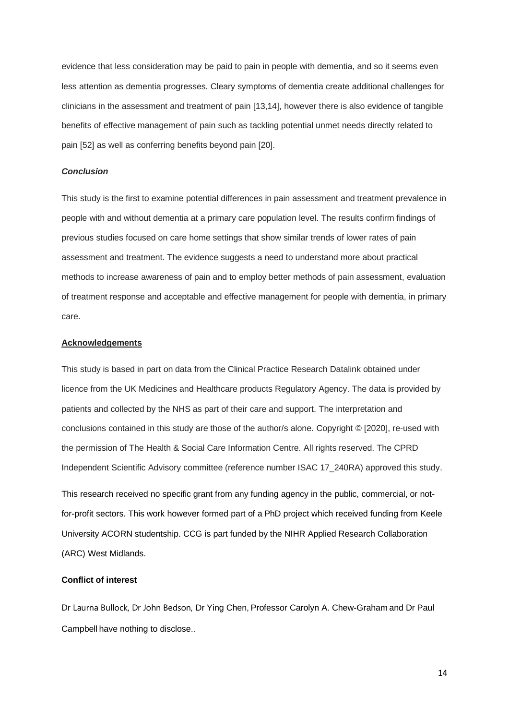evidence that less consideration may be paid to pain in people with dementia, and so it seems even less attention as dementia progresses. Cleary symptoms of dementia create additional challenges for clinicians in the assessment and treatment of pain [13,14], however there is also evidence of tangible benefits of effective management of pain such as tackling potential unmet needs directly related to pain [52] as well as conferring benefits beyond pain [20].

## *Conclusion*

This study is the first to examine potential differences in pain assessment and treatment prevalence in people with and without dementia at a primary care population level. The results confirm findings of previous studies focused on care home settings that show similar trends of lower rates of pain assessment and treatment. The evidence suggests a need to understand more about practical methods to increase awareness of pain and to employ better methods of pain assessment, evaluation of treatment response and acceptable and effective management for people with dementia, in primary care.

# **Acknowledgements**

This study is based in part on data from the Clinical Practice Research Datalink obtained under licence from the UK Medicines and Healthcare products Regulatory Agency. The data is provided by patients and collected by the NHS as part of their care and support. The interpretation and conclusions contained in this study are those of the author/s alone. Copyright © [2020], re-used with the permission of The Health & Social Care Information Centre. All rights reserved. The CPRD Independent Scientific Advisory committee (reference number ISAC 17\_240RA) approved this study.

This research received no specific grant from any funding agency in the public, commercial, or notfor-profit sectors. This work however formed part of a PhD project which received funding from Keele University ACORN studentship. CCG is part funded by the NIHR Applied Research Collaboration (ARC) West Midlands.

# **Conflict of interest**

Dr Laurna Bullock, Dr John Bedson, Dr Ying Chen, Professor Carolyn A. Chew-Graham and Dr Paul Campbell have nothing to disclose..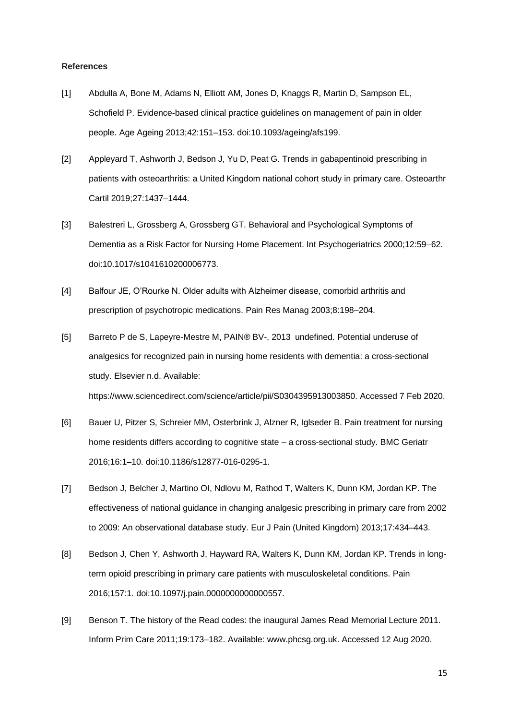#### **References**

- [1] Abdulla A, Bone M, Adams N, Elliott AM, Jones D, Knaggs R, Martin D, Sampson EL, Schofield P. Evidence-based clinical practice guidelines on management of pain in older people. Age Ageing 2013;42:151–153. doi:10.1093/ageing/afs199.
- [2] Appleyard T, Ashworth J, Bedson J, Yu D, Peat G. Trends in gabapentinoid prescribing in patients with osteoarthritis: a United Kingdom national cohort study in primary care. Osteoarthr Cartil 2019;27:1437–1444.
- [3] Balestreri L, Grossberg A, Grossberg GT. Behavioral and Psychological Symptoms of Dementia as a Risk Factor for Nursing Home Placement. Int Psychogeriatrics 2000;12:59–62. doi:10.1017/s1041610200006773.
- [4] Balfour JE, O'Rourke N. Older adults with Alzheimer disease, comorbid arthritis and prescription of psychotropic medications. Pain Res Manag 2003;8:198–204.
- [5] Barreto P de S, Lapeyre-Mestre M, PAIN® BV-, 2013 undefined. Potential underuse of analgesics for recognized pain in nursing home residents with dementia: a cross-sectional study. Elsevier n.d. Available: https://www.sciencedirect.com/science/article/pii/S0304395913003850. Accessed 7 Feb 2020.
- [6] Bauer U, Pitzer S, Schreier MM, Osterbrink J, Alzner R, Iglseder B. Pain treatment for nursing home residents differs according to cognitive state – a cross-sectional study. BMC Geriatr 2016;16:1–10. doi:10.1186/s12877-016-0295-1.
- [7] Bedson J, Belcher J, Martino OI, Ndlovu M, Rathod T, Walters K, Dunn KM, Jordan KP. The effectiveness of national guidance in changing analgesic prescribing in primary care from 2002 to 2009: An observational database study. Eur J Pain (United Kingdom) 2013;17:434–443.
- [8] Bedson J, Chen Y, Ashworth J, Hayward RA, Walters K, Dunn KM, Jordan KP. Trends in longterm opioid prescribing in primary care patients with musculoskeletal conditions. Pain 2016;157:1. doi:10.1097/j.pain.0000000000000557.
- [9] Benson T. The history of the Read codes: the inaugural James Read Memorial Lecture 2011. Inform Prim Care 2011;19:173–182. Available: www.phcsg.org.uk. Accessed 12 Aug 2020.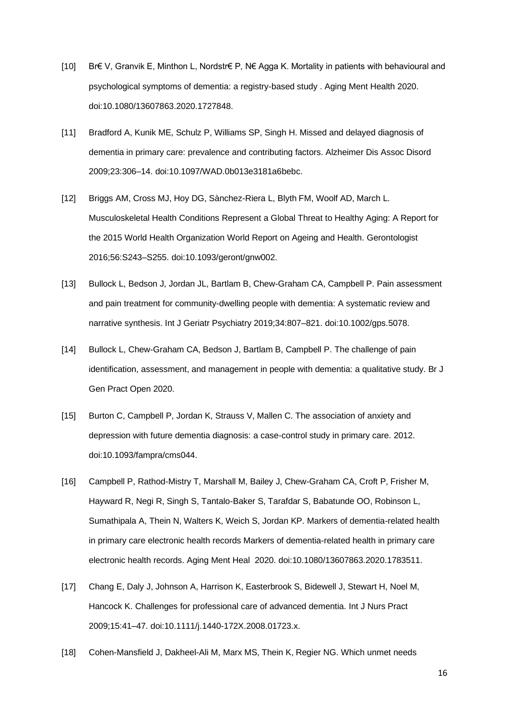- [10] Br€ V, Granvik E, Minthon L, Nordstr€ P, N€ Agga K. Mortality in patients with behavioural and psychological symptoms of dementia: a registry-based study . Aging Ment Health 2020. doi:10.1080/13607863.2020.1727848.
- [11] Bradford A, Kunik ME, Schulz P, Williams SP, Singh H. Missed and delayed diagnosis of dementia in primary care: prevalence and contributing factors. Alzheimer Dis Assoc Disord 2009;23:306–14. doi:10.1097/WAD.0b013e3181a6bebc.
- [12] Briggs AM, Cross MJ, Hoy DG, Sànchez-Riera L, Blyth FM, Woolf AD, March L. Musculoskeletal Health Conditions Represent a Global Threat to Healthy Aging: A Report for the 2015 World Health Organization World Report on Ageing and Health. Gerontologist 2016;56:S243–S255. doi:10.1093/geront/gnw002.
- [13] Bullock L, Bedson J, Jordan JL, Bartlam B, Chew-Graham CA, Campbell P. Pain assessment and pain treatment for community-dwelling people with dementia: A systematic review and narrative synthesis. Int J Geriatr Psychiatry 2019;34:807–821. doi:10.1002/gps.5078.
- [14] Bullock L, Chew-Graham CA, Bedson J, Bartlam B, Campbell P. The challenge of pain identification, assessment, and management in people with dementia: a qualitative study. Br J Gen Pract Open 2020.
- [15] Burton C, Campbell P, Jordan K, Strauss V, Mallen C. The association of anxiety and depression with future dementia diagnosis: a case-control study in primary care. 2012. doi:10.1093/fampra/cms044.
- [16] Campbell P, Rathod-Mistry T, Marshall M, Bailey J, Chew-Graham CA, Croft P, Frisher M, Hayward R, Negi R, Singh S, Tantalo-Baker S, Tarafdar S, Babatunde OO, Robinson L, Sumathipala A, Thein N, Walters K, Weich S, Jordan KP. Markers of dementia-related health in primary care electronic health records Markers of dementia-related health in primary care electronic health records. Aging Ment Heal 2020. doi:10.1080/13607863.2020.1783511.
- [17] Chang E, Daly J, Johnson A, Harrison K, Easterbrook S, Bidewell J, Stewart H, Noel M, Hancock K. Challenges for professional care of advanced dementia. Int J Nurs Pract 2009;15:41–47. doi:10.1111/j.1440-172X.2008.01723.x.
- [18] Cohen-Mansfield J, Dakheel-Ali M, Marx MS, Thein K, Regier NG. Which unmet needs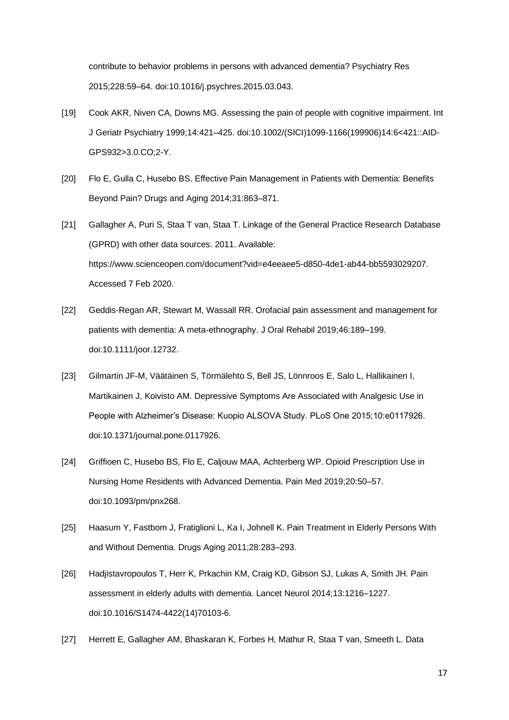contribute to behavior problems in persons with advanced dementia? Psychiatry Res 2015;228:59–64. doi:10.1016/j.psychres.2015.03.043.

- [19] Cook AKR, Niven CA, Downs MG. Assessing the pain of people with cognitive impairment. Int J Geriatr Psychiatry 1999;14:421–425. doi:10.1002/(SICI)1099-1166(199906)14:6<421::AID-GPS932>3.0.CO;2-Y.
- [20] Flo E, Gulla C, Husebo BS. Effective Pain Management in Patients with Dementia: Benefits Beyond Pain? Drugs and Aging 2014;31:863–871.
- [21] Gallagher A, Puri S, Staa T van, Staa T. Linkage of the General Practice Research Database (GPRD) with other data sources. 2011. Available: https://www.scienceopen.com/document?vid=e4eeaee5-d850-4de1-ab44-bb5593029207. Accessed 7 Feb 2020.
- [22] Geddis-Regan AR, Stewart M, Wassall RR. Orofacial pain assessment and management for patients with dementia: A meta-ethnography. J Oral Rehabil 2019;46:189–199. doi:10.1111/joor.12732.
- [23] Gilmartin JF-M, Väätäinen S, Törmälehto S, Bell JS, Lönnroos E, Salo L, Hallikainen I, Martikainen J, Koivisto AM. Depressive Symptoms Are Associated with Analgesic Use in People with Alzheimer's Disease: Kuopio ALSOVA Study. PLoS One 2015;10:e0117926. doi:10.1371/journal.pone.0117926.
- [24] Griffioen C, Husebo BS, Flo E, Caljouw MAA, Achterberg WP. Opioid Prescription Use in Nursing Home Residents with Advanced Dementia. Pain Med 2019;20:50–57. doi:10.1093/pm/pnx268.
- [25] Haasum Y, Fastbom J, Fratiglioni L, Ka I, Johnell K. Pain Treatment in Elderly Persons With and Without Dementia. Drugs Aging 2011;28:283–293.
- [26] Hadjistavropoulos T, Herr K, Prkachin KM, Craig KD, Gibson SJ, Lukas A, Smith JH. Pain assessment in elderly adults with dementia. Lancet Neurol 2014;13:1216–1227. doi:10.1016/S1474-4422(14)70103-6.
- [27] Herrett E, Gallagher AM, Bhaskaran K, Forbes H, Mathur R, Staa T van, Smeeth L. Data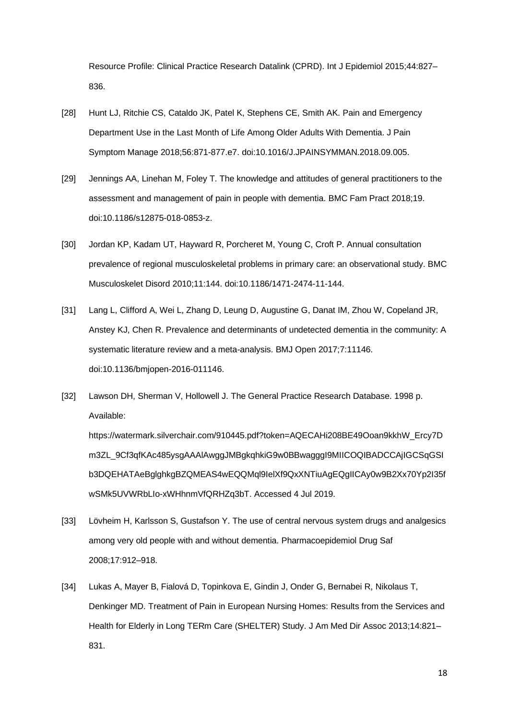Resource Profile: Clinical Practice Research Datalink (CPRD). Int J Epidemiol 2015;44:827– 836.

- [28] Hunt LJ, Ritchie CS, Cataldo JK, Patel K, Stephens CE, Smith AK. Pain and Emergency Department Use in the Last Month of Life Among Older Adults With Dementia. J Pain Symptom Manage 2018;56:871-877.e7. doi:10.1016/J.JPAINSYMMAN.2018.09.005.
- [29] Jennings AA, Linehan M, Foley T. The knowledge and attitudes of general practitioners to the assessment and management of pain in people with dementia. BMC Fam Pract 2018;19. doi:10.1186/s12875-018-0853-z.
- [30] Jordan KP, Kadam UT, Hayward R, Porcheret M, Young C, Croft P. Annual consultation prevalence of regional musculoskeletal problems in primary care: an observational study. BMC Musculoskelet Disord 2010;11:144. doi:10.1186/1471-2474-11-144.
- [31] Lang L, Clifford A, Wei L, Zhang D, Leung D, Augustine G, Danat IM, Zhou W, Copeland JR, Anstey KJ, Chen R. Prevalence and determinants of undetected dementia in the community: A systematic literature review and a meta-analysis. BMJ Open 2017;7:11146. doi:10.1136/bmjopen-2016-011146.
- [32] Lawson DH, Sherman V, Hollowell J. The General Practice Research Database. 1998 p. Available:

https://watermark.silverchair.com/910445.pdf?token=AQECAHi208BE49Ooan9kkhW\_Ercy7D m3ZL\_9Cf3qfKAc485ysgAAAlAwggJMBgkqhkiG9w0BBwagggI9MIICOQIBADCCAjIGCSqGSI b3DQEHATAeBglghkgBZQMEAS4wEQQMql9IelXf9QxXNTiuAgEQgIICAy0w9B2Xx70Yp2I35f wSMk5UVWRbLIo-xWHhnmVfQRHZq3bT. Accessed 4 Jul 2019.

- [33] Lövheim H, Karlsson S, Gustafson Y. The use of central nervous system drugs and analgesics among very old people with and without dementia. Pharmacoepidemiol Drug Saf 2008;17:912–918.
- [34] Lukas A, Mayer B, Fialová D, Topinkova E, Gindin J, Onder G, Bernabei R, Nikolaus T, Denkinger MD. Treatment of Pain in European Nursing Homes: Results from the Services and Health for Elderly in Long TERm Care (SHELTER) Study. J Am Med Dir Assoc 2013;14:821– 831.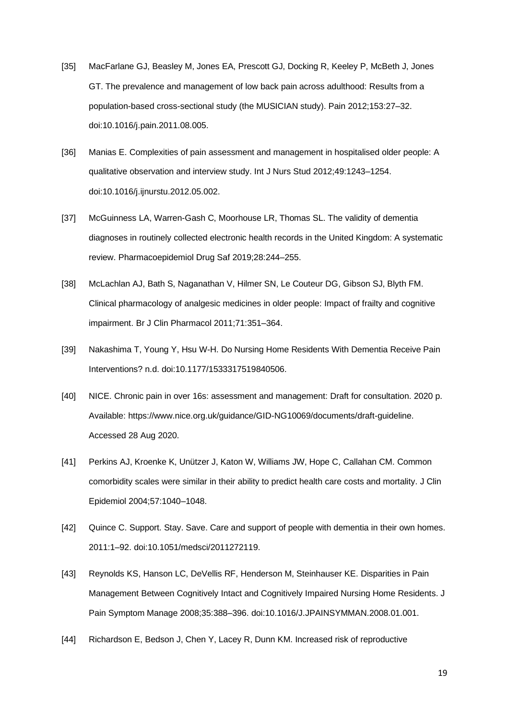- [35] MacFarlane GJ, Beasley M, Jones EA, Prescott GJ, Docking R, Keeley P, McBeth J, Jones GT. The prevalence and management of low back pain across adulthood: Results from a population-based cross-sectional study (the MUSICIAN study). Pain 2012;153:27–32. doi:10.1016/j.pain.2011.08.005.
- [36] Manias E. Complexities of pain assessment and management in hospitalised older people: A qualitative observation and interview study. Int J Nurs Stud 2012;49:1243–1254. doi:10.1016/j.ijnurstu.2012.05.002.
- [37] McGuinness LA, Warren-Gash C, Moorhouse LR, Thomas SL. The validity of dementia diagnoses in routinely collected electronic health records in the United Kingdom: A systematic review. Pharmacoepidemiol Drug Saf 2019;28:244–255.
- [38] McLachlan AJ, Bath S, Naganathan V, Hilmer SN, Le Couteur DG, Gibson SJ, Blyth FM. Clinical pharmacology of analgesic medicines in older people: Impact of frailty and cognitive impairment. Br J Clin Pharmacol 2011;71:351–364.
- [39] Nakashima T, Young Y, Hsu W-H. Do Nursing Home Residents With Dementia Receive Pain Interventions? n.d. doi:10.1177/1533317519840506.
- [40] NICE. Chronic pain in over 16s: assessment and management: Draft for consultation. 2020 p. Available: https://www.nice.org.uk/guidance/GID-NG10069/documents/draft-guideline. Accessed 28 Aug 2020.
- [41] Perkins AJ, Kroenke K, Unützer J, Katon W, Williams JW, Hope C, Callahan CM. Common comorbidity scales were similar in their ability to predict health care costs and mortality. J Clin Epidemiol 2004;57:1040–1048.
- [42] Quince C. Support. Stay. Save. Care and support of people with dementia in their own homes. 2011:1–92. doi:10.1051/medsci/2011272119.
- [43] Reynolds KS, Hanson LC, DeVellis RF, Henderson M, Steinhauser KE. Disparities in Pain Management Between Cognitively Intact and Cognitively Impaired Nursing Home Residents. J Pain Symptom Manage 2008;35:388–396. doi:10.1016/J.JPAINSYMMAN.2008.01.001.
- [44] Richardson E, Bedson J, Chen Y, Lacey R, Dunn KM. Increased risk of reproductive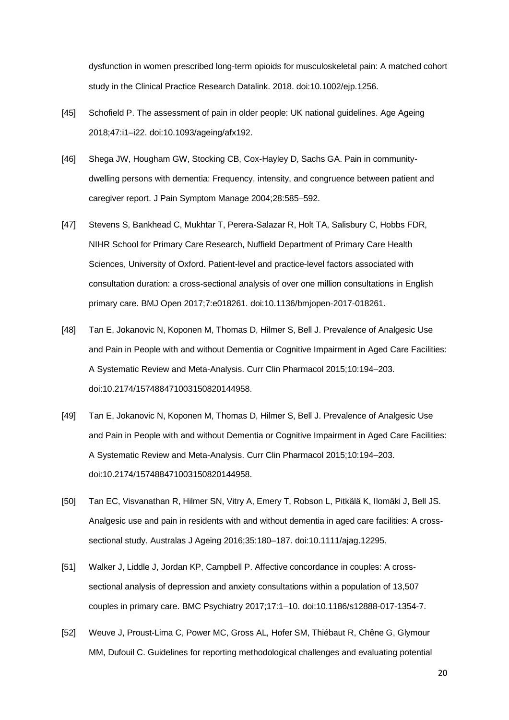dysfunction in women prescribed long-term opioids for musculoskeletal pain: A matched cohort study in the Clinical Practice Research Datalink. 2018. doi:10.1002/ejp.1256.

- [45] Schofield P. The assessment of pain in older people: UK national guidelines. Age Ageing 2018;47:i1–i22. doi:10.1093/ageing/afx192.
- [46] Shega JW, Hougham GW, Stocking CB, Cox-Hayley D, Sachs GA. Pain in communitydwelling persons with dementia: Frequency, intensity, and congruence between patient and caregiver report. J Pain Symptom Manage 2004;28:585–592.
- [47] Stevens S, Bankhead C, Mukhtar T, Perera-Salazar R, Holt TA, Salisbury C, Hobbs FDR, NIHR School for Primary Care Research, Nuffield Department of Primary Care Health Sciences, University of Oxford. Patient-level and practice-level factors associated with consultation duration: a cross-sectional analysis of over one million consultations in English primary care. BMJ Open 2017;7:e018261. doi:10.1136/bmjopen-2017-018261.
- [48] Tan E, Jokanovic N, Koponen M, Thomas D, Hilmer S, Bell J. Prevalence of Analgesic Use and Pain in People with and without Dementia or Cognitive Impairment in Aged Care Facilities: A Systematic Review and Meta-Analysis. Curr Clin Pharmacol 2015;10:194–203. doi:10.2174/157488471003150820144958.
- [49] Tan E, Jokanovic N, Koponen M, Thomas D, Hilmer S, Bell J. Prevalence of Analgesic Use and Pain in People with and without Dementia or Cognitive Impairment in Aged Care Facilities: A Systematic Review and Meta-Analysis. Curr Clin Pharmacol 2015;10:194–203. doi:10.2174/157488471003150820144958.
- [50] Tan EC, Visvanathan R, Hilmer SN, Vitry A, Emery T, Robson L, Pitkälä K, Ilomäki J, Bell JS. Analgesic use and pain in residents with and without dementia in aged care facilities: A crosssectional study. Australas J Ageing 2016;35:180–187. doi:10.1111/ajag.12295.
- [51] Walker J, Liddle J, Jordan KP, Campbell P. Affective concordance in couples: A crosssectional analysis of depression and anxiety consultations within a population of 13,507 couples in primary care. BMC Psychiatry 2017;17:1–10. doi:10.1186/s12888-017-1354-7.
- [52] Weuve J, Proust-Lima C, Power MC, Gross AL, Hofer SM, Thiébaut R, Chêne G, Glymour MM, Dufouil C. Guidelines for reporting methodological challenges and evaluating potential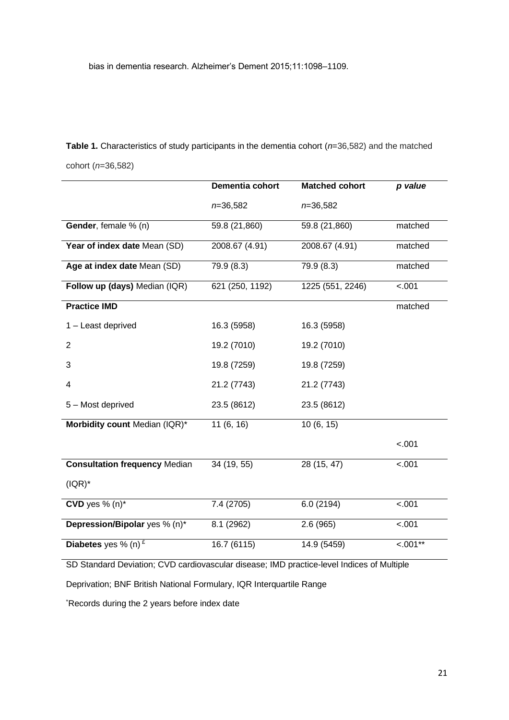bias in dementia research. Alzheimer's Dement 2015;11:1098–1109.

**Table 1.** Characteristics of study participants in the dementia cohort (*n*=36,582) and the matched cohort (*n*=36,582)

|                                      | <b>Dementia cohort</b> | <b>Matched cohort</b> | p value    |
|--------------------------------------|------------------------|-----------------------|------------|
|                                      | $n = 36,582$           | $n = 36,582$          |            |
| Gender, female % (n)                 | 59.8 (21,860)          | 59.8 (21,860)         | matched    |
| Year of index date Mean (SD)         | 2008.67 (4.91)         | 2008.67 (4.91)        | matched    |
| Age at index date Mean (SD)          | 79.9 (8.3)             | 79.9 (8.3)            | matched    |
| Follow up (days) Median (IQR)        | 621 (250, 1192)        | 1225 (551, 2246)      | $-.001$    |
| <b>Practice IMD</b>                  |                        |                       | matched    |
| 1 - Least deprived                   | 16.3 (5958)            | 16.3 (5958)           |            |
| 2                                    | 19.2 (7010)            | 19.2 (7010)           |            |
| 3                                    | 19.8 (7259)            | 19.8 (7259)           |            |
| 4                                    | 21.2 (7743)            | 21.2 (7743)           |            |
| 5 - Most deprived                    | 23.5 (8612)            | 23.5 (8612)           |            |
| Morbidity count Median (IQR)*        | 11(6, 16)              | 10(6, 15)             |            |
|                                      |                        |                       | $-.001$    |
| <b>Consultation frequency Median</b> | 34 (19, 55)            | 28(15, 47)            | $-.001$    |
| $( IQR)^*$                           |                        |                       |            |
| CVD yes $% (n)*$                     | 7.4 (2705)             | 6.0(2194)             | $-.001$    |
| Depression/Bipolar yes % (n)*        | 8.1 (2962)             | 2.6(965)              | < 001      |
| Diabetes yes % (n) $E$               | 16.7(6115)             | 14.9 (5459)           | $< .001**$ |

SD Standard Deviation; CVD cardiovascular disease; IMD practice-level Indices of Multiple

Deprivation; BNF British National Formulary, IQR Interquartile Range

\*Records during the 2 years before index date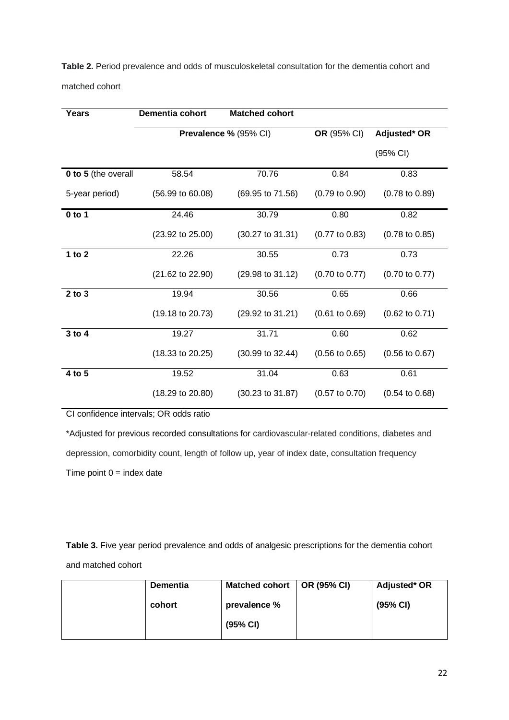**Table 2.** Period prevalence and odds of musculoskeletal consultation for the dementia cohort and matched cohort

| Years               | Dementia cohort             | <b>Matched cohort</b>       |                           |                           |
|---------------------|-----------------------------|-----------------------------|---------------------------|---------------------------|
|                     |                             | Prevalence % (95% CI)       | OR (95% CI)               | Adjusted* OR              |
|                     |                             |                             |                           | (95% CI)                  |
| 0 to 5 (the overall | 58.54                       | 70.76                       | 0.84                      | 0.83                      |
| 5-year period)      | $(56.99 \text{ to } 60.08)$ | (69.95 to 71.56)            | $(0.79 \text{ to } 0.90)$ | $(0.78 \text{ to } 0.89)$ |
| $0$ to 1            | 24.46                       | 30.79                       | 0.80                      | 0.82                      |
|                     | $(23.92 \text{ to } 25.00)$ | $(30.27 \text{ to } 31.31)$ | $(0.77 \text{ to } 0.83)$ | $(0.78 \text{ to } 0.85)$ |
| 1 to $2$            | 22.26                       | 30.55                       | 0.73                      | 0.73                      |
|                     | $(21.62 \text{ to } 22.90)$ | (29.98 to 31.12)            | $(0.70 \text{ to } 0.77)$ | $(0.70 \text{ to } 0.77)$ |
| $2$ to $3$          | 19.94                       | 30.56                       | 0.65                      | 0.66                      |
|                     | $(19.18 \text{ to } 20.73)$ | (29.92 to 31.21)            | $(0.61 \text{ to } 0.69)$ | $(0.62 \text{ to } 0.71)$ |
| 3 to 4              | 19.27                       | 31.71                       | 0.60                      | 0.62                      |
|                     | $(18.33 \text{ to } 20.25)$ | (30.99 to 32.44)            | $(0.56 \text{ to } 0.65)$ | $(0.56 \text{ to } 0.67)$ |
| 4 to 5              | 19.52                       | 31.04                       | 0.63                      | 0.61                      |
|                     | $(18.29 \text{ to } 20.80)$ | $(30.23 \text{ to } 31.87)$ | $(0.57 \text{ to } 0.70)$ | $(0.54 \text{ to } 0.68)$ |

CI confidence intervals; OR odds ratio

\*Adjusted for previous recorded consultations for cardiovascular-related conditions, diabetes and depression, comorbidity count, length of follow up, year of index date, consultation frequency Time point  $0 =$  index date

**Table 3.** Five year period prevalence and odds of analgesic prescriptions for the dementia cohort and matched cohort

| <b>Dementia</b> | Matched cohort | OR (95% CI) | Adjusted* OR |
|-----------------|----------------|-------------|--------------|
| cohort          | prevalence %   |             | (95% CI)     |
|                 | (95% CI)       |             |              |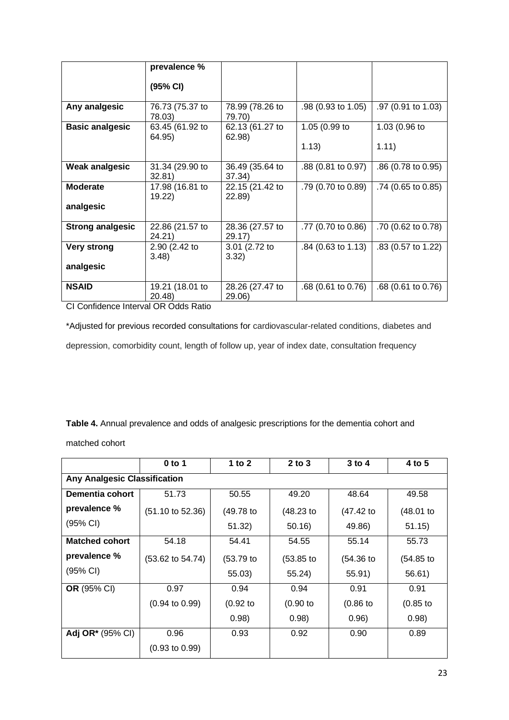|                         | prevalence %              |                           |                      |                    |
|-------------------------|---------------------------|---------------------------|----------------------|--------------------|
|                         | (95% CI)                  |                           |                      |                    |
| Any analgesic           | 76.73 (75.37 to<br>78.03) | 78.99 (78.26 to<br>79.70) | .98 (0.93 to 1.05)   | .97 (0.91 to 1.03) |
| <b>Basic analgesic</b>  | 63.45 (61.92 to<br>64.95) | 62.13 (61.27 to<br>62.98) | 1.05 (0.99 to        | 1.03 (0.96 to      |
|                         |                           |                           | 1.13)                | 1.11)              |
| <b>Weak analgesic</b>   | 31.34 (29.90 to<br>32.81  | 36.49 (35.64 to<br>37.34) | .88 (0.81 to 0.97)   | .86 (0.78 to 0.95) |
| <b>Moderate</b>         | 17.98 (16.81 to<br>19.22) | 22.15 (21.42 to<br>22.89) | .79 (0.70 to 0.89)   | .74 (0.65 to 0.85) |
| analgesic               |                           |                           |                      |                    |
| <b>Strong analgesic</b> | 22.86 (21.57 to<br>24.21  | 28.36 (27.57 to<br>29.17  | .77 (0.70 to 0.86)   | .70 (0.62 to 0.78) |
| <b>Very strong</b>      | 2.90 (2.42 to<br>3.48     | 3.01 (2.72 to<br>3.32)    | $.84$ (0.63 to 1.13) | .83 (0.57 to 1.22) |
| analgesic               |                           |                           |                      |                    |
| <b>NSAID</b>            | 19.21 (18.01 to<br>20.48) | 28.26 (27.47 to<br>29.06) | $.68$ (0.61 to 0.76) | .68 (0.61 to 0.76) |

CI Confidence Interval OR Odds Ratio

\*Adjusted for previous recorded consultations for cardiovascular-related conditions, diabetes and depression, comorbidity count, length of follow up, year of index date, consultation frequency

**Table 4.** Annual prevalence and odds of analgesic prescriptions for the dementia cohort and

matched cohort

|                                     | $0$ to 1                    | 1 to $2$     | $2$ to $3$   | $3$ to 4    | 4 to 5       |  |  |
|-------------------------------------|-----------------------------|--------------|--------------|-------------|--------------|--|--|
| <b>Any Analgesic Classification</b> |                             |              |              |             |              |  |  |
| Dementia cohort                     | 51.73                       | 50.55        | 49.20        | 48.64       | 49.58        |  |  |
| prevalence %                        | $(51.10 \text{ to } 52.36)$ | (49.78 to    | $(48.23)$ to | (47.42)     | (48.01)      |  |  |
| (95% CI)                            |                             | 51.32)       | 50.16        | 49.86)      | 51.15)       |  |  |
| <b>Matched cohort</b>               | 54.18                       | 54.41        | 54.55        | 55.14       | 55.73        |  |  |
| prevalence %                        | (53.62 to 54.74)            | $(53.79)$ to | $(53.85)$ to | (54.36)     | $(54.85)$ to |  |  |
| (95% CI)                            |                             | 55.03)       | 55.24)       | 55.91)      | 56.61)       |  |  |
| <b>OR</b> (95% CI)                  | 0.97                        | 0.94         | 0.94         | 0.91        | 0.91         |  |  |
|                                     | $(0.94 \text{ to } 0.99)$   | $(0.92)$ to  | $(0.90)$ to  | $(0.86)$ to | $(0.85)$ to  |  |  |
|                                     |                             | 0.98)        | 0.98)        | 0.96)       | 0.98)        |  |  |
| <b>Adj OR*</b> (95% CI)             | 0.96                        | 0.93         | 0.92         | 0.90        | 0.89         |  |  |
|                                     | $(0.93 \text{ to } 0.99)$   |              |              |             |              |  |  |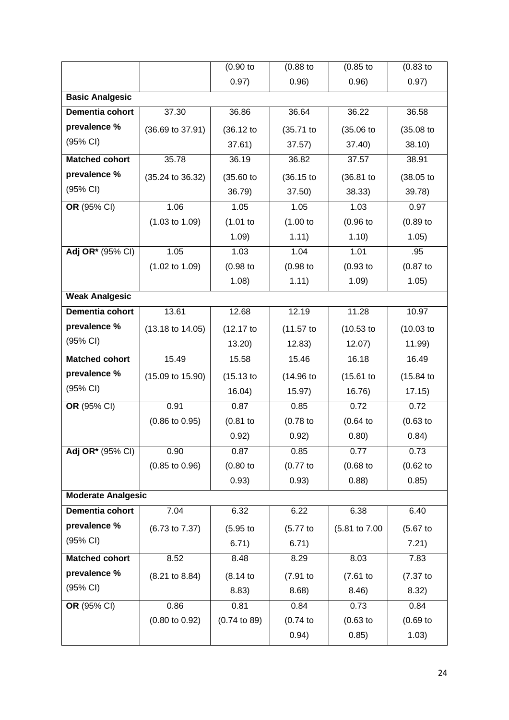|                           |                             | $(0.90)$ to             | $(0.88)$ to  | $(0.85)$ to   | $(0.83)$ to  |
|---------------------------|-----------------------------|-------------------------|--------------|---------------|--------------|
|                           |                             | 0.97)                   | 0.96)        | 0.96)         | 0.97)        |
| <b>Basic Analgesic</b>    |                             |                         |              |               |              |
| Dementia cohort           | 37.30                       | 36.86                   | 36.64        | 36.22         | 36.58        |
| prevalence %              | (36.69 to 37.91)            | (36.12 to               | (35.71 to    | $(35.06)$ to  | $(35.08)$ to |
| (95% CI)                  |                             | 37.61)                  | 37.57)       | 37.40         | 38.10        |
| <b>Matched cohort</b>     | 35.78                       | 36.19                   | 36.82        | 37.57         | 38.91        |
| prevalence %              | $(35.24 \text{ to } 36.32)$ | (35.60)                 | (36.15)      | (36.81)       | (38.05 to    |
| (95% CI)                  |                             | 36.79)                  | 37.50)       | 38.33)        | 39.78)       |
| OR (95% CI)               | 1.06                        | 1.05                    | 1.05         | 1.03          | 0.97         |
|                           | $(1.03 \text{ to } 1.09)$   | (1.01)                  | (1.00 to     | $(0.96)$ to   | $(0.89)$ to  |
|                           |                             | 1.09)                   | 1.11)        | 1.10)         | 1.05)        |
| Adj OR* (95% CI)          | 1.05                        | 1.03                    | 1.04         | 1.01          | .95          |
|                           | $(1.02 \text{ to } 1.09)$   | $(0.98)$ to             | $(0.98$ to   | $(0.93)$ to   | $(0.87)$ to  |
|                           |                             | 1.08)                   | 1.11)        | 1.09)         | 1.05)        |
| <b>Weak Analgesic</b>     |                             |                         |              |               |              |
| Dementia cohort           | 13.61                       | 12.68                   | 12.19        | 11.28         | 10.97        |
| prevalence %              | $(13.18 \text{ to } 14.05)$ | (12.17)                 | $(11.57)$ to | $(10.53)$ to  | $(10.03)$ to |
| (95% CI)                  |                             | 13.20                   | 12.83)       | 12.07)        | 11.99)       |
| <b>Matched cohort</b>     | 15.49                       | 15.58                   | 15.46        | 16.18         | 16.49        |
| prevalence %              | $(15.09 \text{ to } 15.90)$ | (15.13)                 | $(14.96)$ to | (15.61)       | (15.84)      |
| (95% CI)                  |                             | 16.04)                  | 15.97)       | 16.76)        | 17.15)       |
| OR (95% CI)               | 0.91                        | 0.87                    | 0.85         | 0.72          | 0.72         |
|                           | $(0.86 \text{ to } 0.95)$   | $(0.81)$ to             | $(0.78)$ to  | (0.64)        | $(0.63)$ to  |
|                           |                             | 0.92)                   | 0.92)        | 0.80)         | 0.84)        |
| Adj OR* (95% CI)          | 0.90                        | 0.87                    | 0.85         | 0.77          | 0.73         |
|                           | $(0.85 \text{ to } 0.96)$   | $(0.80)$ to             | $(0.77$ to   | $(0.68)$ to   | (0.62)       |
|                           |                             | 0.93)                   | 0.93)        | 0.88)         | 0.85)        |
| <b>Moderate Analgesic</b> |                             |                         |              |               |              |
| Dementia cohort           | 7.04                        | 6.32                    | 6.22         | 6.38          | 6.40         |
| prevalence %              | (6.73 to 7.37)              | (5.95)                  | (5.77)       | (5.81 to 7.00 | (5.67)       |
| (95% CI)                  |                             |                         |              |               |              |
|                           |                             | 6.71)                   | 6.71)        |               | 7.21)        |
| <b>Matched cohort</b>     | 8.52                        | 8.48                    | 8.29         | 8.03          | 7.83         |
| prevalence %              | $(8.21 \text{ to } 8.84)$   | (8.14)                  | (7.91)       | $(7.61)$ to   | $(7.37)$ to  |
| (95% CI)                  |                             | 8.83)                   | 8.68)        | 8.46)         | 8.32)        |
| OR (95% CI)               | 0.86                        | 0.81                    | 0.84         | 0.73          | 0.84         |
|                           | $(0.80 \text{ to } 0.92)$   | $(0.74 \text{ to } 89)$ | (0.74)       | $(0.63)$ to   | $(0.69)$ to  |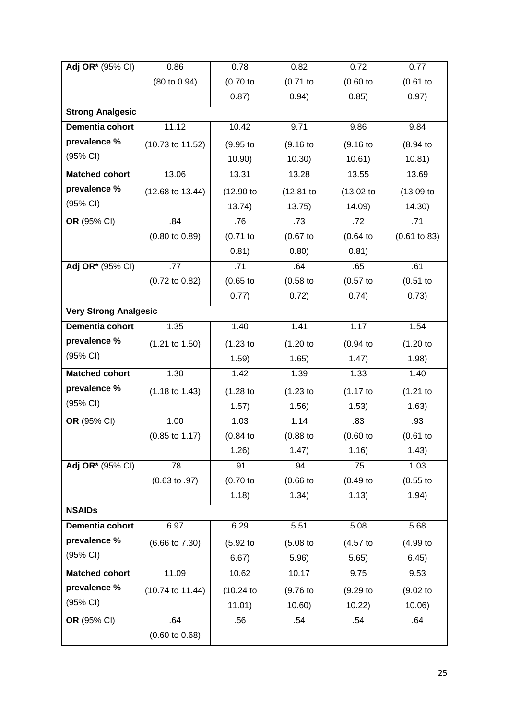| Adj OR* (95% CI)             | 0.86                        | 0.78        | 0.82         | 0.72        | 0.77         |  |  |  |
|------------------------------|-----------------------------|-------------|--------------|-------------|--------------|--|--|--|
|                              | (80 to 0.94)                | $(0.70)$ to | $(0.71$ to   | $(0.60)$ to | $(0.61)$ to  |  |  |  |
|                              |                             | 0.87)       | 0.94)        | 0.85)       | 0.97)        |  |  |  |
| <b>Strong Analgesic</b>      |                             |             |              |             |              |  |  |  |
| Dementia cohort              | 11.12                       | 10.42       | 9.71         | 9.86        | 9.84         |  |  |  |
| prevalence %                 | (10.73 to 11.52)            | (9.95)      | (9.16)       | (9.16)      | (8.94)       |  |  |  |
| (95% CI)                     |                             | 10.90)      | 10.30)       | 10.61)      | 10.81)       |  |  |  |
| <b>Matched cohort</b>        | 13.06                       | 13.31       | 13.28        | 13.55       | 13.69        |  |  |  |
| prevalence %                 | $(12.68 \text{ to } 13.44)$ | (12.90 to   | $(12.81)$ to | (13.02)     | $(13.09)$ to |  |  |  |
| (95% CI)                     |                             | 13.74)      | 13.75)       | 14.09)      | (14.30)      |  |  |  |
| OR (95% CI)                  | .84                         | .76         | .73          | .72         | .71          |  |  |  |
|                              | $(0.80 \text{ to } 0.89)$   | $(0.71$ to  | $(0.67)$ to  | (0.64)      | (0.61 to 83) |  |  |  |
|                              |                             | 0.81)       | 0.80)        | 0.81)       |              |  |  |  |
| Adj OR* (95% CI)             | .77                         | .71         | .64          | .65         | .61          |  |  |  |
|                              | $(0.72 \text{ to } 0.82)$   | $(0.65$ to  | $(0.58)$ to  | (0.57)      | $(0.51$ to   |  |  |  |
|                              |                             | 0.77)       | 0.72)        | 0.74)       | 0.73)        |  |  |  |
| <b>Very Strong Analgesic</b> |                             |             |              |             |              |  |  |  |
| Dementia cohort              | 1.35                        | 1.40        | 1.41         | 1.17        | 1.54         |  |  |  |
| prevalence %                 | $(1.21 \text{ to } 1.50)$   | $(1.23$ to  | (1.20 to     | (0.94)      | (1.20 to     |  |  |  |
| (95% CI)                     |                             | 1.59)       | 1.65)        | 1.47)       | 1.98)        |  |  |  |
| <b>Matched cohort</b>        | 1.30                        | 1.42        | 1.39         | 1.33        | 1.40         |  |  |  |
| prevalence %                 | $(1.18 \text{ to } 1.43)$   | $(1.28)$ to | $(1.23)$ to  | (1.17)      | (1.21)       |  |  |  |
| (95% CI)                     |                             | 1.57)       | 1.56)        | 1.53)       | 1.63)        |  |  |  |
| OR (95% CI)                  | 1.00                        | 1.03        | 1.14         | .83         | .93          |  |  |  |
|                              | $(0.85 \text{ to } 1.17)$   | (0.84)      | $(0.88)$ to  | $(0.60)$ to | $(0.61)$ to  |  |  |  |
|                              |                             | 1.26)       | 1.47)        | 1.16)       | 1.43)        |  |  |  |
| Adj OR* (95% CI)             | .78                         | .91         | .94          | .75         | 1.03         |  |  |  |
|                              | $(0.63 \text{ to } .97)$    | $(0.70)$ to | $(0.66)$ to  | $(0.49$ to  | $(0.55$ to   |  |  |  |
|                              |                             | 1.18)       | 1.34)        | 1.13)       | 1.94)        |  |  |  |
| <b>NSAIDs</b>                |                             |             |              |             |              |  |  |  |
| Dementia cohort              | 6.97                        | 6.29        | 5.51         | 5.08        | 5.68         |  |  |  |
| prevalence %                 | $(6.66 \text{ to } 7.30)$   | (5.92)      | $(5.08)$ to  | (4.57)      | (4.99 to     |  |  |  |
| (95% CI)                     |                             | 6.67)       | 5.96)        | 5.65)       | 6.45)        |  |  |  |
| <b>Matched cohort</b>        | 11.09                       | 10.62       | 10.17        | 9.75        | 9.53         |  |  |  |
| prevalence %                 | (10.74 to 11.44)            | (10.24)     | (9.76)       | (9.29)      | (9.02)       |  |  |  |
| (95% CI)                     |                             | 11.01)      | 10.60        | 10.22       | 10.06)       |  |  |  |
| OR (95% CI)                  | .64                         | .56         | .54          | .54         | .64          |  |  |  |
|                              | $(0.60 \text{ to } 0.68)$   |             |              |             |              |  |  |  |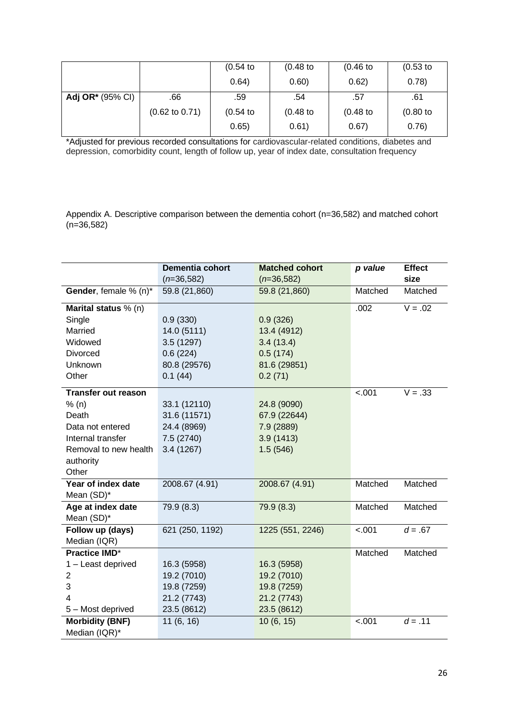|                         |                           | $(0.54)$ to | $(0.48)$ to | $(0.46)$ to | $(0.53)$ to |
|-------------------------|---------------------------|-------------|-------------|-------------|-------------|
|                         |                           | 0.64)       | 0.60)       | 0.62)       | 0.78)       |
| <b>Adj OR*</b> (95% CI) | .66                       | .59         | .54         | .57         | .61         |
|                         | $(0.62 \text{ to } 0.71)$ | $(0.54)$ to | $(0.48)$ to | $(0.48)$ to | $(0.80)$ to |
|                         |                           | 0.65)       | 0.61)       | 0.67)       | 0.76)       |

\*Adjusted for previous recorded consultations for cardiovascular-related conditions, diabetes and depression, comorbidity count, length of follow up, year of index date, consultation frequency

Appendix A. Descriptive comparison between the dementia cohort (n=36,582) and matched cohort  $(n=36,582)$ 

|                            | <b>Dementia cohort</b> | <b>Matched cohort</b> | p value | <b>Effect</b> |
|----------------------------|------------------------|-----------------------|---------|---------------|
|                            | $(n=36,582)$           | $(n=36,582)$          |         | size          |
| Gender, female % (n)*      | 59.8 (21,860)          | 59.8 (21,860)         | Matched | Matched       |
| Marital status % (n)       |                        |                       | .002    | $V = .02$     |
| Single                     | 0.9(330)               | 0.9(326)              |         |               |
| Married                    | 14.0 (5111)            | 13.4 (4912)           |         |               |
| Widowed                    | 3.5(1297)              | 3.4(13.4)             |         |               |
| <b>Divorced</b>            | 0.6(224)               | 0.5(174)              |         |               |
| Unknown                    | 80.8 (29576)           | 81.6 (29851)          |         |               |
| Other                      | 0.1(44)                | 0.2(71)               |         |               |
| <b>Transfer out reason</b> |                        |                       | $-.001$ | $V = .33$     |
| % (n)                      | 33.1 (12110)           | 24.8 (9090)           |         |               |
| Death                      | 31.6 (11571)           | 67.9 (22644)          |         |               |
| Data not entered           | 24.4 (8969)            | 7.9 (2889)            |         |               |
| Internal transfer          | 7.5 (2740)             | 3.9(1413)             |         |               |
| Removal to new health      | 3.4(1267)              | 1.5(546)              |         |               |
| authority                  |                        |                       |         |               |
| Other                      |                        |                       |         |               |
| Year of index date         | 2008.67 (4.91)         | 2008.67 (4.91)        | Matched | Matched       |
| Mean (SD)*                 |                        |                       |         |               |
| Age at index date          | 79.9 (8.3)             | 79.9 (8.3)            | Matched | Matched       |
| Mean (SD)*                 |                        |                       |         |               |
| Follow up (days)           | 621 (250, 1192)        | 1225 (551, 2246)      | $-.001$ | $d = .67$     |
| Median (IQR)               |                        |                       |         |               |
| <b>Practice IMD*</b>       |                        |                       | Matched | Matched       |
| 1 - Least deprived         | 16.3 (5958)            | 16.3 (5958)           |         |               |
| $\overline{2}$             | 19.2 (7010)            | 19.2 (7010)           |         |               |
| 3                          | 19.8 (7259)            | 19.8 (7259)           |         |               |
| 4                          | 21.2 (7743)            | 21.2 (7743)           |         |               |
| 5 - Most deprived          | 23.5 (8612)            | 23.5 (8612)           |         |               |
| <b>Morbidity (BNF)</b>     | 11(6, 16)              | 10(6, 15)             | $-.001$ | $d = .11$     |
| Median (IQR)*              |                        |                       |         |               |